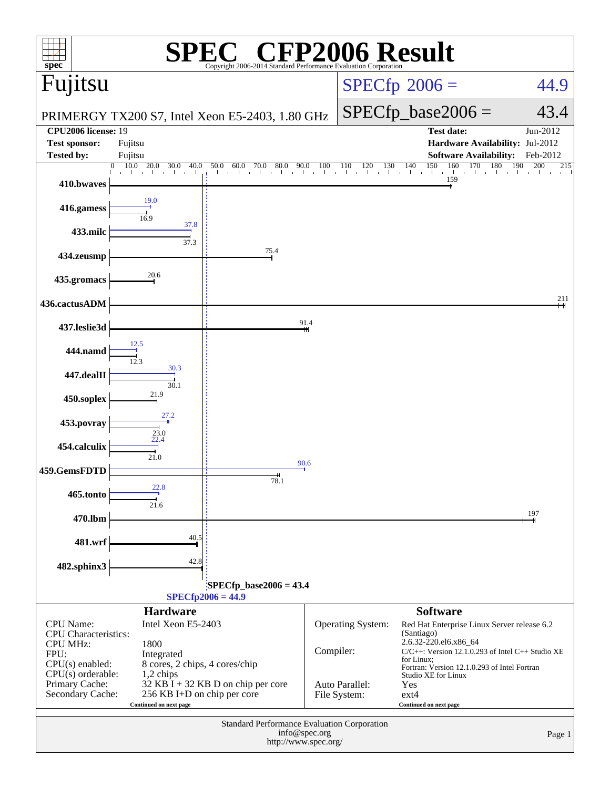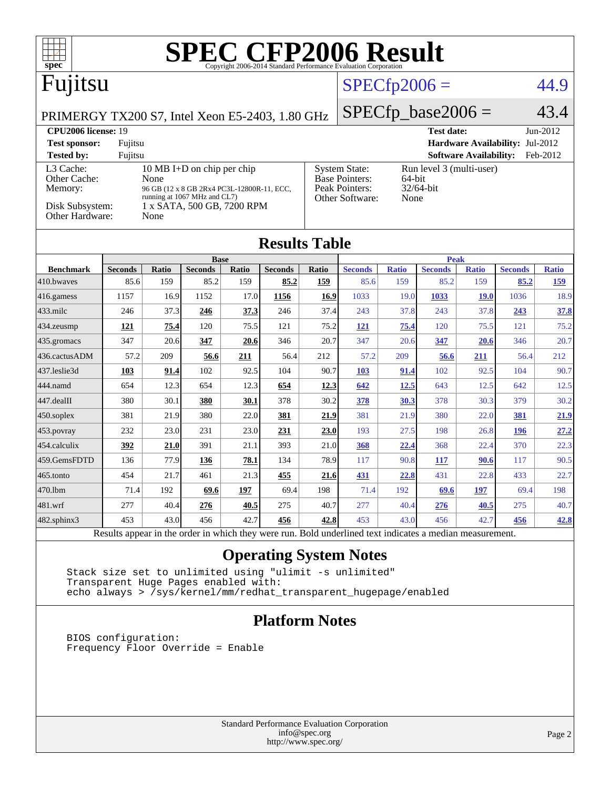| <b>SPEC CFP2006 Result</b><br>$spec^*$<br>Copyright 2006-2014 Standard Performance Evaluation Corporation |                |               |                                            |       |                |                                                                              |                             |              |                   |                               |                                 |              |
|-----------------------------------------------------------------------------------------------------------|----------------|---------------|--------------------------------------------|-------|----------------|------------------------------------------------------------------------------|-----------------------------|--------------|-------------------|-------------------------------|---------------------------------|--------------|
| Fujitsu                                                                                                   |                |               |                                            |       |                | $SPECfp2006 =$                                                               |                             |              | 44.9              |                               |                                 |              |
| PRIMERGY TX200 S7, Intel Xeon E5-2403, 1.80 GHz                                                           |                |               |                                            |       |                |                                                                              | $SPECfp\_base2006 =$        |              |                   | 43.4                          |                                 |              |
| <b>CPU2006</b> license: 19                                                                                |                |               |                                            |       |                |                                                                              |                             |              | <b>Test date:</b> |                               |                                 | Jun-2012     |
| <b>Test sponsor:</b>                                                                                      | Fujitsu        |               |                                            |       |                |                                                                              |                             |              |                   |                               | Hardware Availability: Jul-2012 |              |
| <b>Tested by:</b>                                                                                         | Fujitsu        |               |                                            |       |                |                                                                              |                             |              |                   | <b>Software Availability:</b> |                                 | Feb-2012     |
| 10 MB I+D on chip per chip<br>L3 Cache:                                                                   |                |               |                                            |       |                | <b>System State:</b><br>Run level 3 (multi-user)<br>Base Pointers:<br>64-bit |                             |              |                   |                               |                                 |              |
| Other Cache:<br>Memory:                                                                                   |                | None          | 96 GB (12 x 8 GB 2Rx4 PC3L-12800R-11, ECC, |       |                |                                                                              | Peak Pointers:<br>32/64-bit |              |                   |                               |                                 |              |
| running at 1067 MHz and CL7)<br>Other Software:<br>None                                                   |                |               |                                            |       |                |                                                                              |                             |              |                   |                               |                                 |              |
| Disk Subsystem:<br>1 x SATA, 500 GB, 7200 RPM<br>Other Hardware:<br>None                                  |                |               |                                            |       |                |                                                                              |                             |              |                   |                               |                                 |              |
| <b>Results Table</b>                                                                                      |                |               |                                            |       |                |                                                                              |                             |              |                   |                               |                                 |              |
|                                                                                                           |                |               | <b>Base</b>                                |       |                |                                                                              |                             |              | <b>Peak</b>       |                               |                                 |              |
| <b>Benchmark</b>                                                                                          | <b>Seconds</b> | Ratio         | <b>Seconds</b>                             | Ratio | <b>Seconds</b> | Ratio                                                                        | <b>Seconds</b>              | <b>Ratio</b> | <b>Seconds</b>    | <b>Ratio</b>                  | <b>Seconds</b>                  | <b>Ratio</b> |
| 410.bwayes                                                                                                | 85.6           | 159           | 85.2                                       | 159   | 85.2           | 159                                                                          | 85.6                        | 159          | 85.2              | 159                           | 85.2                            | 159          |
| 416.gamess                                                                                                | 1157           | 16.9          | 1152                                       | 17.0  | 1156           | 16.9                                                                         | 1033                        | 19.0         | 1033              | 19.0                          | 1036                            | 18.9         |
| $433$ .milc                                                                                               | 246            | 37.3          | 246                                        | 37.3  | 246            | 37.4                                                                         | 243                         | 37.8         | 243               | 37.8                          | 243                             | 37.8         |
| $434$ . zeusmp                                                                                            | 121            | 75.4          | 120                                        | 75.5  | 121            | 75.2                                                                         | 121                         | 75.4         | 120               | 75.5                          | 121                             | 75.2         |
| 435.gromacs                                                                                               | 347            | 20.6          | 347                                        | 20.6  | 346            | 20.7                                                                         | 347                         | 20.6         | 347               | 20.6                          | 346                             | 20.7         |
| 436.cactusADM                                                                                             | 57.2           | 209           | 56.6                                       | 211   | 56.4           | 212                                                                          | 57.2                        | 209          | 56.6              | 211                           | 56.4                            | 212          |
| 437.leslie3d                                                                                              | 103            | 91.4          | 102                                        | 92.5  | 104            | 90.7                                                                         | 103                         | 91.4         | 102               | 92.5                          | 104                             | 90.7         |
| 444.namd                                                                                                  | 654            | 12.3          | 654                                        | 12.3  | 654            | 12.3                                                                         | 642                         | 12.5         | 643               | 12.5                          | 642                             | 12.5         |
| 447.dealII                                                                                                | 380            | 30.1          | 380                                        | 30.1  | 378            | 30.2                                                                         | 378                         | 30.3         | 378               | 30.3                          | 379                             | 30.2         |
| $450$ .soplex                                                                                             | 381            | 21.9          | 380                                        | 22.0  | 381            | 21.9                                                                         | 381                         | 21.9         | 380               | 22.0                          | 381                             | 21.9         |
| $453$ . povray                                                                                            | 232            | 23.0          | 231                                        | 23.0  | 231            | 23.0                                                                         | 193                         | 27.5         | 198               | 26.8                          | 196                             | 27.2         |
| 454.calculix                                                                                              | 392            | 21.0          | 391                                        | 21.1  | 393            | 21.0                                                                         | 368                         | <u>22.4</u>  | 368               | 22.4                          | 370                             | 22.3         |
| 459.GemsFDTD                                                                                              | 136            | 77.9          | 136                                        | 78.1  | 134            | 78.9                                                                         | 117                         | 90.8         | <u>117</u>        | 90.6                          | 117                             | 90.5         |
| 465.tonto                                                                                                 | 454            | 21.7          | 461                                        | 21.3  | 455            | 21.6                                                                         | 431                         | 22.8         | 431               | 22.8                          | 433                             | 22.7         |
| 470.1bm                                                                                                   | 71.4           | 192           | 69.6                                       | 197   | 69.4           | 198                                                                          | 71.4                        | 192          | 69.6              | 197                           | 69.4                            | 198          |
| 481.wrf                                                                                                   | 277            | 40.4          | 276                                        | 40.5  | 275            | 40.7                                                                         | 277                         | 40.4         | 276               | 40.5                          | 275                             | 40.7         |
| $482$ .sphinx $3$                                                                                         | 453            | 43.0          | 456                                        | 42.7  | 456            | 42.8                                                                         | 453                         | 43.0         | 456               | 42.7                          | 456                             | 42.8         |
|                                                                                                           | $\mathbf{L}$   | $\sim$ $\sim$ | $\sim$                                     |       |                | $T = 1.1$                                                                    | $1 - 11 - 14$               | $2.73 - 12$  | $\cdot$           |                               |                                 |              |

Results appear in the [order in which they were run.](http://www.spec.org/auto/cpu2006/Docs/result-fields.html#RunOrder) Bold underlined text [indicates a median measurement.](http://www.spec.org/auto/cpu2006/Docs/result-fields.html#Median)

## **[Operating System Notes](http://www.spec.org/auto/cpu2006/Docs/result-fields.html#OperatingSystemNotes)**

 Stack size set to unlimited using "ulimit -s unlimited" Transparent Huge Pages enabled with: echo always > /sys/kernel/mm/redhat\_transparent\_hugepage/enabled

## **[Platform Notes](http://www.spec.org/auto/cpu2006/Docs/result-fields.html#PlatformNotes)**

 BIOS configuration: Frequency Floor Override = Enable

> Standard Performance Evaluation Corporation [info@spec.org](mailto:info@spec.org) <http://www.spec.org/>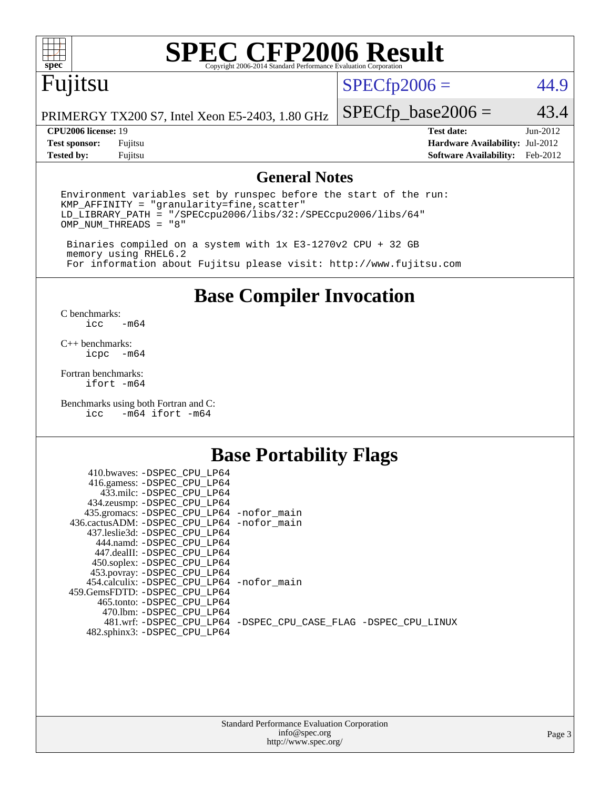

# **[SPEC CFP2006 Result](http://www.spec.org/auto/cpu2006/Docs/result-fields.html#SPECCFP2006Result)**

## Fujitsu

## $SPECfp2006 = 44.9$  $SPECfp2006 = 44.9$

PRIMERGY TX200 S7, Intel Xeon E5-2403, 1.80 GHz

#### **[CPU2006 license:](http://www.spec.org/auto/cpu2006/Docs/result-fields.html#CPU2006license)** 19 **[Test date:](http://www.spec.org/auto/cpu2006/Docs/result-fields.html#Testdate)** Jun-2012

 $SPECfp\_base2006 = 43.4$ 

**[Test sponsor:](http://www.spec.org/auto/cpu2006/Docs/result-fields.html#Testsponsor)** Fujitsu **[Hardware Availability:](http://www.spec.org/auto/cpu2006/Docs/result-fields.html#HardwareAvailability)** Jul-2012 **[Tested by:](http://www.spec.org/auto/cpu2006/Docs/result-fields.html#Testedby)** Fujitsu **[Software Availability:](http://www.spec.org/auto/cpu2006/Docs/result-fields.html#SoftwareAvailability)** Feb-2012

### **[General Notes](http://www.spec.org/auto/cpu2006/Docs/result-fields.html#GeneralNotes)**

Environment variables set by runspec before the start of the run: KMP\_AFFINITY = "granularity=fine,scatter" LD\_LIBRARY\_PATH = "/SPECcpu2006/libs/32:/SPECcpu2006/libs/64" OMP\_NUM\_THREADS = "8"

 Binaries compiled on a system with 1x E3-1270v2 CPU + 32 GB memory using RHEL6.2 For information about Fujitsu please visit: <http://www.fujitsu.com>

**[Base Compiler Invocation](http://www.spec.org/auto/cpu2006/Docs/result-fields.html#BaseCompilerInvocation)**

 $C$  benchmarks:<br>icc  $-m64$ 

[C++ benchmarks:](http://www.spec.org/auto/cpu2006/Docs/result-fields.html#CXXbenchmarks) [icpc -m64](http://www.spec.org/cpu2006/results/res2012q3/cpu2006-20120821-24265.flags.html#user_CXXbase_intel_icpc_64bit_bedb90c1146cab66620883ef4f41a67e)

[Fortran benchmarks](http://www.spec.org/auto/cpu2006/Docs/result-fields.html#Fortranbenchmarks): [ifort -m64](http://www.spec.org/cpu2006/results/res2012q3/cpu2006-20120821-24265.flags.html#user_FCbase_intel_ifort_64bit_ee9d0fb25645d0210d97eb0527dcc06e)

[Benchmarks using both Fortran and C](http://www.spec.org/auto/cpu2006/Docs/result-fields.html#BenchmarksusingbothFortranandC): [icc -m64](http://www.spec.org/cpu2006/results/res2012q3/cpu2006-20120821-24265.flags.html#user_CC_FCbase_intel_icc_64bit_0b7121f5ab7cfabee23d88897260401c) [ifort -m64](http://www.spec.org/cpu2006/results/res2012q3/cpu2006-20120821-24265.flags.html#user_CC_FCbase_intel_ifort_64bit_ee9d0fb25645d0210d97eb0527dcc06e)

## **[Base Portability Flags](http://www.spec.org/auto/cpu2006/Docs/result-fields.html#BasePortabilityFlags)**

| 410.bwaves: -DSPEC CPU LP64                 |                                                                |
|---------------------------------------------|----------------------------------------------------------------|
| 416.gamess: -DSPEC_CPU_LP64                 |                                                                |
| 433.milc: -DSPEC CPU LP64                   |                                                                |
| 434.zeusmp: - DSPEC_CPU_LP64                |                                                                |
| 435.gromacs: -DSPEC_CPU_LP64 -nofor_main    |                                                                |
| 436.cactusADM: -DSPEC CPU LP64 -nofor main  |                                                                |
| 437.leslie3d: -DSPEC CPU LP64               |                                                                |
| 444.namd: -DSPEC CPU LP64                   |                                                                |
| 447.dealII: -DSPEC_CPU LP64                 |                                                                |
| 450.soplex: -DSPEC_CPU_LP64                 |                                                                |
| 453.povray: -DSPEC_CPU_LP64                 |                                                                |
| 454.calculix: - DSPEC CPU LP64 - nofor main |                                                                |
| 459. GemsFDTD: - DSPEC CPU LP64             |                                                                |
| 465.tonto: - DSPEC CPU LP64                 |                                                                |
| 470.1bm: - DSPEC_CPU LP64                   |                                                                |
|                                             | 481.wrf: -DSPEC CPU_LP64 -DSPEC_CPU_CASE_FLAG -DSPEC_CPU_LINUX |
| 482.sphinx3: -DSPEC_CPU_LP64                |                                                                |
|                                             |                                                                |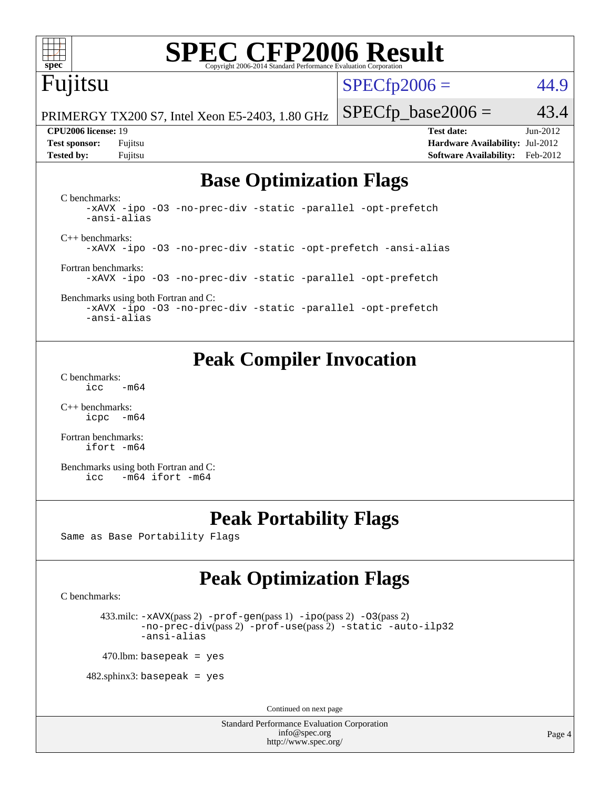

# **[SPEC CFP2006 Result](http://www.spec.org/auto/cpu2006/Docs/result-fields.html#SPECCFP2006Result)**

## Fujitsu

 $SPECTp2006 = 44.9$ 

PRIMERGY TX200 S7, Intel Xeon E5-2403, 1.80 GHz

**[Tested by:](http://www.spec.org/auto/cpu2006/Docs/result-fields.html#Testedby)** Fujitsu **[Software Availability:](http://www.spec.org/auto/cpu2006/Docs/result-fields.html#SoftwareAvailability)** Feb-2012

**[CPU2006 license:](http://www.spec.org/auto/cpu2006/Docs/result-fields.html#CPU2006license)** 19 **[Test date:](http://www.spec.org/auto/cpu2006/Docs/result-fields.html#Testdate)** Jun-2012 **[Test sponsor:](http://www.spec.org/auto/cpu2006/Docs/result-fields.html#Testsponsor)** Fujitsu **[Hardware Availability:](http://www.spec.org/auto/cpu2006/Docs/result-fields.html#HardwareAvailability)** Jul-2012

 $SPECTp\_base2006 = 43.4$ 

## **[Base Optimization Flags](http://www.spec.org/auto/cpu2006/Docs/result-fields.html#BaseOptimizationFlags)**

[C benchmarks](http://www.spec.org/auto/cpu2006/Docs/result-fields.html#Cbenchmarks): [-xAVX](http://www.spec.org/cpu2006/results/res2012q3/cpu2006-20120821-24265.flags.html#user_CCbase_f-xAVX) [-ipo](http://www.spec.org/cpu2006/results/res2012q3/cpu2006-20120821-24265.flags.html#user_CCbase_f-ipo) [-O3](http://www.spec.org/cpu2006/results/res2012q3/cpu2006-20120821-24265.flags.html#user_CCbase_f-O3) [-no-prec-div](http://www.spec.org/cpu2006/results/res2012q3/cpu2006-20120821-24265.flags.html#user_CCbase_f-no-prec-div) [-static](http://www.spec.org/cpu2006/results/res2012q3/cpu2006-20120821-24265.flags.html#user_CCbase_f-static) [-parallel](http://www.spec.org/cpu2006/results/res2012q3/cpu2006-20120821-24265.flags.html#user_CCbase_f-parallel) [-opt-prefetch](http://www.spec.org/cpu2006/results/res2012q3/cpu2006-20120821-24265.flags.html#user_CCbase_f-opt-prefetch) [-ansi-alias](http://www.spec.org/cpu2006/results/res2012q3/cpu2006-20120821-24265.flags.html#user_CCbase_f-ansi-alias) [C++ benchmarks:](http://www.spec.org/auto/cpu2006/Docs/result-fields.html#CXXbenchmarks) [-xAVX](http://www.spec.org/cpu2006/results/res2012q3/cpu2006-20120821-24265.flags.html#user_CXXbase_f-xAVX) [-ipo](http://www.spec.org/cpu2006/results/res2012q3/cpu2006-20120821-24265.flags.html#user_CXXbase_f-ipo) [-O3](http://www.spec.org/cpu2006/results/res2012q3/cpu2006-20120821-24265.flags.html#user_CXXbase_f-O3) [-no-prec-div](http://www.spec.org/cpu2006/results/res2012q3/cpu2006-20120821-24265.flags.html#user_CXXbase_f-no-prec-div) [-static](http://www.spec.org/cpu2006/results/res2012q3/cpu2006-20120821-24265.flags.html#user_CXXbase_f-static) [-opt-prefetch](http://www.spec.org/cpu2006/results/res2012q3/cpu2006-20120821-24265.flags.html#user_CXXbase_f-opt-prefetch) [-ansi-alias](http://www.spec.org/cpu2006/results/res2012q3/cpu2006-20120821-24265.flags.html#user_CXXbase_f-ansi-alias) [Fortran benchmarks](http://www.spec.org/auto/cpu2006/Docs/result-fields.html#Fortranbenchmarks): [-xAVX](http://www.spec.org/cpu2006/results/res2012q3/cpu2006-20120821-24265.flags.html#user_FCbase_f-xAVX) [-ipo](http://www.spec.org/cpu2006/results/res2012q3/cpu2006-20120821-24265.flags.html#user_FCbase_f-ipo) [-O3](http://www.spec.org/cpu2006/results/res2012q3/cpu2006-20120821-24265.flags.html#user_FCbase_f-O3) [-no-prec-div](http://www.spec.org/cpu2006/results/res2012q3/cpu2006-20120821-24265.flags.html#user_FCbase_f-no-prec-div) [-static](http://www.spec.org/cpu2006/results/res2012q3/cpu2006-20120821-24265.flags.html#user_FCbase_f-static) [-parallel](http://www.spec.org/cpu2006/results/res2012q3/cpu2006-20120821-24265.flags.html#user_FCbase_f-parallel) [-opt-prefetch](http://www.spec.org/cpu2006/results/res2012q3/cpu2006-20120821-24265.flags.html#user_FCbase_f-opt-prefetch) [Benchmarks using both Fortran and C](http://www.spec.org/auto/cpu2006/Docs/result-fields.html#BenchmarksusingbothFortranandC):

[-xAVX](http://www.spec.org/cpu2006/results/res2012q3/cpu2006-20120821-24265.flags.html#user_CC_FCbase_f-xAVX) [-ipo](http://www.spec.org/cpu2006/results/res2012q3/cpu2006-20120821-24265.flags.html#user_CC_FCbase_f-ipo) [-O3](http://www.spec.org/cpu2006/results/res2012q3/cpu2006-20120821-24265.flags.html#user_CC_FCbase_f-O3) [-no-prec-div](http://www.spec.org/cpu2006/results/res2012q3/cpu2006-20120821-24265.flags.html#user_CC_FCbase_f-no-prec-div) [-static](http://www.spec.org/cpu2006/results/res2012q3/cpu2006-20120821-24265.flags.html#user_CC_FCbase_f-static) [-parallel](http://www.spec.org/cpu2006/results/res2012q3/cpu2006-20120821-24265.flags.html#user_CC_FCbase_f-parallel) [-opt-prefetch](http://www.spec.org/cpu2006/results/res2012q3/cpu2006-20120821-24265.flags.html#user_CC_FCbase_f-opt-prefetch) [-ansi-alias](http://www.spec.org/cpu2006/results/res2012q3/cpu2006-20120821-24265.flags.html#user_CC_FCbase_f-ansi-alias)

## **[Peak Compiler Invocation](http://www.spec.org/auto/cpu2006/Docs/result-fields.html#PeakCompilerInvocation)**

[C benchmarks](http://www.spec.org/auto/cpu2006/Docs/result-fields.html#Cbenchmarks):  $\text{icc}$  -m64

[C++ benchmarks:](http://www.spec.org/auto/cpu2006/Docs/result-fields.html#CXXbenchmarks) [icpc -m64](http://www.spec.org/cpu2006/results/res2012q3/cpu2006-20120821-24265.flags.html#user_CXXpeak_intel_icpc_64bit_bedb90c1146cab66620883ef4f41a67e)

[Fortran benchmarks](http://www.spec.org/auto/cpu2006/Docs/result-fields.html#Fortranbenchmarks): [ifort -m64](http://www.spec.org/cpu2006/results/res2012q3/cpu2006-20120821-24265.flags.html#user_FCpeak_intel_ifort_64bit_ee9d0fb25645d0210d97eb0527dcc06e)

[Benchmarks using both Fortran and C](http://www.spec.org/auto/cpu2006/Docs/result-fields.html#BenchmarksusingbothFortranandC): [icc -m64](http://www.spec.org/cpu2006/results/res2012q3/cpu2006-20120821-24265.flags.html#user_CC_FCpeak_intel_icc_64bit_0b7121f5ab7cfabee23d88897260401c) [ifort -m64](http://www.spec.org/cpu2006/results/res2012q3/cpu2006-20120821-24265.flags.html#user_CC_FCpeak_intel_ifort_64bit_ee9d0fb25645d0210d97eb0527dcc06e)

## **[Peak Portability Flags](http://www.spec.org/auto/cpu2006/Docs/result-fields.html#PeakPortabilityFlags)**

Same as Base Portability Flags

## **[Peak Optimization Flags](http://www.spec.org/auto/cpu2006/Docs/result-fields.html#PeakOptimizationFlags)**

[C benchmarks](http://www.spec.org/auto/cpu2006/Docs/result-fields.html#Cbenchmarks):

433.milc:  $-x$ AVX(pass 2)  $-p$ rof-gen(pass 1)  $-p$ po(pass 2)  $-03$ (pass 2) [-no-prec-div](http://www.spec.org/cpu2006/results/res2012q3/cpu2006-20120821-24265.flags.html#user_peakPASS2_CFLAGSPASS2_LDFLAGS433_milc_f-no-prec-div)(pass 2) [-prof-use](http://www.spec.org/cpu2006/results/res2012q3/cpu2006-20120821-24265.flags.html#user_peakPASS2_CFLAGSPASS2_LDFLAGS433_milc_prof_use_bccf7792157ff70d64e32fe3e1250b55)(pass 2) [-static](http://www.spec.org/cpu2006/results/res2012q3/cpu2006-20120821-24265.flags.html#user_peakOPTIMIZE433_milc_f-static) [-auto-ilp32](http://www.spec.org/cpu2006/results/res2012q3/cpu2006-20120821-24265.flags.html#user_peakCOPTIMIZE433_milc_f-auto-ilp32) [-ansi-alias](http://www.spec.org/cpu2006/results/res2012q3/cpu2006-20120821-24265.flags.html#user_peakCOPTIMIZE433_milc_f-ansi-alias)

 $470$ .lbm: basepeak = yes

 $482$ .sphinx3: basepeak = yes

Continued on next page

Standard Performance Evaluation Corporation [info@spec.org](mailto:info@spec.org) <http://www.spec.org/>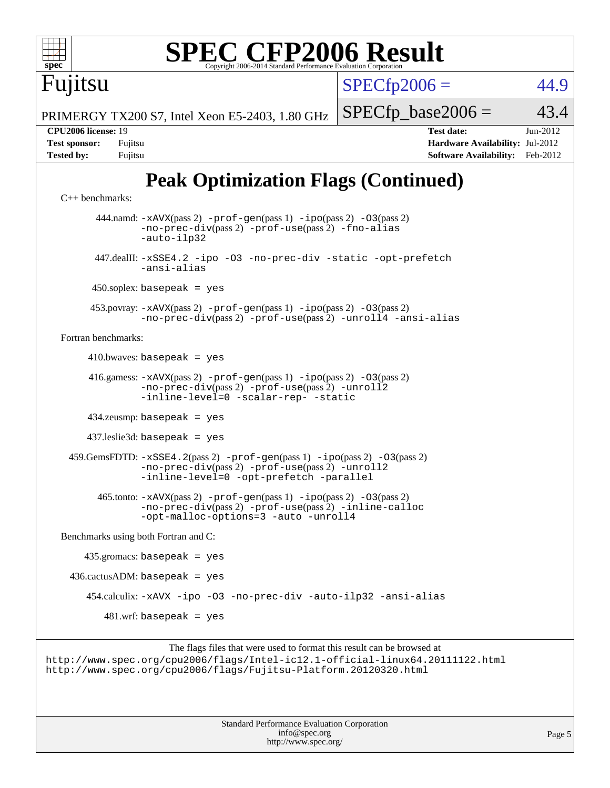

 453.povray: [-xAVX](http://www.spec.org/cpu2006/results/res2012q3/cpu2006-20120821-24265.flags.html#user_peakPASS2_CXXFLAGSPASS2_LDFLAGS453_povray_f-xAVX)(pass 2) [-prof-gen](http://www.spec.org/cpu2006/results/res2012q3/cpu2006-20120821-24265.flags.html#user_peakPASS1_CXXFLAGSPASS1_LDFLAGS453_povray_prof_gen_e43856698f6ca7b7e442dfd80e94a8fc)(pass 1) [-ipo](http://www.spec.org/cpu2006/results/res2012q3/cpu2006-20120821-24265.flags.html#user_peakPASS2_CXXFLAGSPASS2_LDFLAGS453_povray_f-ipo)(pass 2) [-O3](http://www.spec.org/cpu2006/results/res2012q3/cpu2006-20120821-24265.flags.html#user_peakPASS2_CXXFLAGSPASS2_LDFLAGS453_povray_f-O3)(pass 2) [-no-prec-div](http://www.spec.org/cpu2006/results/res2012q3/cpu2006-20120821-24265.flags.html#user_peakPASS2_CXXFLAGSPASS2_LDFLAGS453_povray_f-no-prec-div)(pass 2) [-prof-use](http://www.spec.org/cpu2006/results/res2012q3/cpu2006-20120821-24265.flags.html#user_peakPASS2_CXXFLAGSPASS2_LDFLAGS453_povray_prof_use_bccf7792157ff70d64e32fe3e1250b55)(pass 2) [-unroll4](http://www.spec.org/cpu2006/results/res2012q3/cpu2006-20120821-24265.flags.html#user_peakCXXOPTIMIZE453_povray_f-unroll_4e5e4ed65b7fd20bdcd365bec371b81f) [-ansi-alias](http://www.spec.org/cpu2006/results/res2012q3/cpu2006-20120821-24265.flags.html#user_peakCXXOPTIMIZE453_povray_f-ansi-alias)

[Fortran benchmarks](http://www.spec.org/auto/cpu2006/Docs/result-fields.html#Fortranbenchmarks):

 $410.bwaves: basepeak = yes$ 

 416.gamess: [-xAVX](http://www.spec.org/cpu2006/results/res2012q3/cpu2006-20120821-24265.flags.html#user_peakPASS2_FFLAGSPASS2_LDFLAGS416_gamess_f-xAVX)(pass 2) [-prof-gen](http://www.spec.org/cpu2006/results/res2012q3/cpu2006-20120821-24265.flags.html#user_peakPASS1_FFLAGSPASS1_LDFLAGS416_gamess_prof_gen_e43856698f6ca7b7e442dfd80e94a8fc)(pass 1) [-ipo](http://www.spec.org/cpu2006/results/res2012q3/cpu2006-20120821-24265.flags.html#user_peakPASS2_FFLAGSPASS2_LDFLAGS416_gamess_f-ipo)(pass 2) [-O3](http://www.spec.org/cpu2006/results/res2012q3/cpu2006-20120821-24265.flags.html#user_peakPASS2_FFLAGSPASS2_LDFLAGS416_gamess_f-O3)(pass 2) [-no-prec-div](http://www.spec.org/cpu2006/results/res2012q3/cpu2006-20120821-24265.flags.html#user_peakPASS2_FFLAGSPASS2_LDFLAGS416_gamess_f-no-prec-div)(pass 2) [-prof-use](http://www.spec.org/cpu2006/results/res2012q3/cpu2006-20120821-24265.flags.html#user_peakPASS2_FFLAGSPASS2_LDFLAGS416_gamess_prof_use_bccf7792157ff70d64e32fe3e1250b55)(pass 2) [-unroll2](http://www.spec.org/cpu2006/results/res2012q3/cpu2006-20120821-24265.flags.html#user_peakOPTIMIZE416_gamess_f-unroll_784dae83bebfb236979b41d2422d7ec2) [-inline-level=0](http://www.spec.org/cpu2006/results/res2012q3/cpu2006-20120821-24265.flags.html#user_peakOPTIMIZE416_gamess_f-inline-level_318d07a09274ad25e8d15dbfaa68ba50) [-scalar-rep-](http://www.spec.org/cpu2006/results/res2012q3/cpu2006-20120821-24265.flags.html#user_peakOPTIMIZE416_gamess_f-disablescalarrep_abbcad04450fb118e4809c81d83c8a1d) [-static](http://www.spec.org/cpu2006/results/res2012q3/cpu2006-20120821-24265.flags.html#user_peakOPTIMIZE416_gamess_f-static)

434.zeusmp: basepeak = yes

437.leslie3d: basepeak = yes

 459.GemsFDTD: [-xSSE4.2](http://www.spec.org/cpu2006/results/res2012q3/cpu2006-20120821-24265.flags.html#user_peakPASS2_FFLAGSPASS2_LDFLAGS459_GemsFDTD_f-xSSE42_f91528193cf0b216347adb8b939d4107)(pass 2) [-prof-gen](http://www.spec.org/cpu2006/results/res2012q3/cpu2006-20120821-24265.flags.html#user_peakPASS1_FFLAGSPASS1_LDFLAGS459_GemsFDTD_prof_gen_e43856698f6ca7b7e442dfd80e94a8fc)(pass 1) [-ipo](http://www.spec.org/cpu2006/results/res2012q3/cpu2006-20120821-24265.flags.html#user_peakPASS2_FFLAGSPASS2_LDFLAGS459_GemsFDTD_f-ipo)(pass 2) [-O3](http://www.spec.org/cpu2006/results/res2012q3/cpu2006-20120821-24265.flags.html#user_peakPASS2_FFLAGSPASS2_LDFLAGS459_GemsFDTD_f-O3)(pass 2) [-no-prec-div](http://www.spec.org/cpu2006/results/res2012q3/cpu2006-20120821-24265.flags.html#user_peakPASS2_FFLAGSPASS2_LDFLAGS459_GemsFDTD_f-no-prec-div)(pass 2) [-prof-use](http://www.spec.org/cpu2006/results/res2012q3/cpu2006-20120821-24265.flags.html#user_peakPASS2_FFLAGSPASS2_LDFLAGS459_GemsFDTD_prof_use_bccf7792157ff70d64e32fe3e1250b55)(pass 2) [-unroll2](http://www.spec.org/cpu2006/results/res2012q3/cpu2006-20120821-24265.flags.html#user_peakOPTIMIZE459_GemsFDTD_f-unroll_784dae83bebfb236979b41d2422d7ec2) [-inline-level=0](http://www.spec.org/cpu2006/results/res2012q3/cpu2006-20120821-24265.flags.html#user_peakOPTIMIZE459_GemsFDTD_f-inline-level_318d07a09274ad25e8d15dbfaa68ba50) [-opt-prefetch](http://www.spec.org/cpu2006/results/res2012q3/cpu2006-20120821-24265.flags.html#user_peakOPTIMIZE459_GemsFDTD_f-opt-prefetch) [-parallel](http://www.spec.org/cpu2006/results/res2012q3/cpu2006-20120821-24265.flags.html#user_peakOPTIMIZE459_GemsFDTD_f-parallel)

 465.tonto: [-xAVX](http://www.spec.org/cpu2006/results/res2012q3/cpu2006-20120821-24265.flags.html#user_peakPASS2_FFLAGSPASS2_LDFLAGS465_tonto_f-xAVX)(pass 2) [-prof-gen](http://www.spec.org/cpu2006/results/res2012q3/cpu2006-20120821-24265.flags.html#user_peakPASS1_FFLAGSPASS1_LDFLAGS465_tonto_prof_gen_e43856698f6ca7b7e442dfd80e94a8fc)(pass 1) [-ipo](http://www.spec.org/cpu2006/results/res2012q3/cpu2006-20120821-24265.flags.html#user_peakPASS2_FFLAGSPASS2_LDFLAGS465_tonto_f-ipo)(pass 2) [-O3](http://www.spec.org/cpu2006/results/res2012q3/cpu2006-20120821-24265.flags.html#user_peakPASS2_FFLAGSPASS2_LDFLAGS465_tonto_f-O3)(pass 2) [-no-prec-div](http://www.spec.org/cpu2006/results/res2012q3/cpu2006-20120821-24265.flags.html#user_peakPASS2_FFLAGSPASS2_LDFLAGS465_tonto_f-no-prec-div)(pass 2) [-prof-use](http://www.spec.org/cpu2006/results/res2012q3/cpu2006-20120821-24265.flags.html#user_peakPASS2_FFLAGSPASS2_LDFLAGS465_tonto_prof_use_bccf7792157ff70d64e32fe3e1250b55)(pass 2) [-inline-calloc](http://www.spec.org/cpu2006/results/res2012q3/cpu2006-20120821-24265.flags.html#user_peakOPTIMIZE465_tonto_f-inline-calloc) [-opt-malloc-options=3](http://www.spec.org/cpu2006/results/res2012q3/cpu2006-20120821-24265.flags.html#user_peakOPTIMIZE465_tonto_f-opt-malloc-options_13ab9b803cf986b4ee62f0a5998c2238) [-auto](http://www.spec.org/cpu2006/results/res2012q3/cpu2006-20120821-24265.flags.html#user_peakOPTIMIZE465_tonto_f-auto) [-unroll4](http://www.spec.org/cpu2006/results/res2012q3/cpu2006-20120821-24265.flags.html#user_peakOPTIMIZE465_tonto_f-unroll_4e5e4ed65b7fd20bdcd365bec371b81f)

[Benchmarks using both Fortran and C](http://www.spec.org/auto/cpu2006/Docs/result-fields.html#BenchmarksusingbothFortranandC):

 435.gromacs: basepeak = yes  $436.cactusADM: basepeak = yes$  454.calculix: [-xAVX](http://www.spec.org/cpu2006/results/res2012q3/cpu2006-20120821-24265.flags.html#user_peakOPTIMIZE454_calculix_f-xAVX) [-ipo](http://www.spec.org/cpu2006/results/res2012q3/cpu2006-20120821-24265.flags.html#user_peakOPTIMIZE454_calculix_f-ipo) [-O3](http://www.spec.org/cpu2006/results/res2012q3/cpu2006-20120821-24265.flags.html#user_peakOPTIMIZE454_calculix_f-O3) [-no-prec-div](http://www.spec.org/cpu2006/results/res2012q3/cpu2006-20120821-24265.flags.html#user_peakOPTIMIZE454_calculix_f-no-prec-div) [-auto-ilp32](http://www.spec.org/cpu2006/results/res2012q3/cpu2006-20120821-24265.flags.html#user_peakCOPTIMIZE454_calculix_f-auto-ilp32) [-ansi-alias](http://www.spec.org/cpu2006/results/res2012q3/cpu2006-20120821-24265.flags.html#user_peakCOPTIMIZE454_calculix_f-ansi-alias)  $481.$ wrf: basepeak = yes

The flags files that were used to format this result can be browsed at <http://www.spec.org/cpu2006/flags/Intel-ic12.1-official-linux64.20111122.html> <http://www.spec.org/cpu2006/flags/Fujitsu-Platform.20120320.html>

> Standard Performance Evaluation Corporation [info@spec.org](mailto:info@spec.org) <http://www.spec.org/>